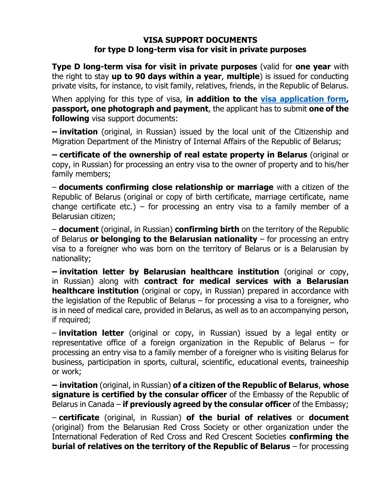## **VISA SUPPORT DOCUMENTS for type D long-term visa for visit in private purposes**

**Type D long-term visa for visit in private purposes** (valid for **one year** with the right to stay **up to 90 days within a year**, **multiple**) is issued for conducting private visits, for instance, to visit family, relatives, friends, in the Republic of Belarus.

When applying for this type of visa, **in addition to the [visa application form,](http://www.mfa.gov.by/docs/visa_forms/english.pdf) passport, one photograph and payment**, the applicant has to submit **one of the following** visa support documents:

**– invitation** (original, in Russian) issued by the local unit of the Citizenship and Migration Department of the Ministry of Internal Affairs of the Republic of Belarus;

**– certificate of the ownership of real estate property in Belarus** (original or copy, in Russian) for processing an entry visa to the owner of property and to his/her family members;

– **documents confirming close relationship or marriage** with a citizen of the Republic of Belarus (original or copy of birth certificate, marriage certificate, name change certificate etc.) – for processing an entry visa to a family member of a Belarusian citizen;

– **document** (original, in Russian) **confirming birth** on the territory of the Republic of Belarus **or belonging to the Belarusian nationality** – for processing an entry visa to a foreigner who was born on the territory of Belarus or is a Belarusian by nationality;

**– invitation letter by Belarusian healthcare institution** (original or copy, in Russian) along with **contract for medical services with a Belarusian healthcare institution** (original or copy, in Russian) prepared in accordance with the legislation of the Republic of Belarus – for processing a visa to a foreigner, who is in need of medical care, provided in Belarus, as well as to an accompanying person, if required;

– **invitation letter** (original or copy, in Russian) issued by a legal entity or representative office of a foreign organization in the Republic of Belarus – for processing an entry visa to a family member of a foreigner who is visiting Belarus for business, participation in sports, cultural, scientific, educational events, traineeship or work;

**– invitation** (original, in Russian) **of a citizen of the Republic of Belarus**, **whose signature is certified by the consular officer** of the Embassy of the Republic of Belarus in Canada – **if previously agreed by the consular officer** of the Embassy;

– **certificate** (original, in Russian) **of the burial of relatives** or **document** (original) from the Belarusian Red Cross Society or other organization under the International Federation of Red Cross and Red Crescent Societies **confirming the burial of relatives on the territory of the Republic of Belarus** – for processing